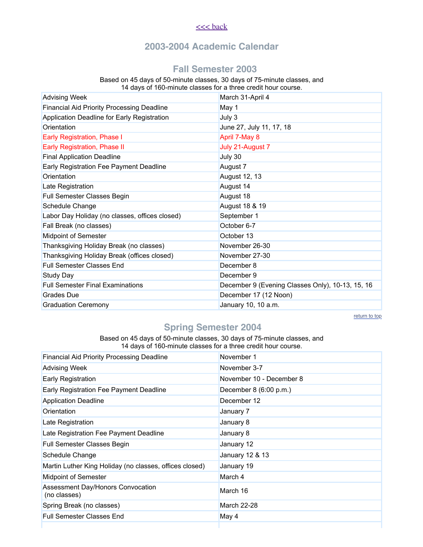#### $<<$  back

## **2003-2004 Academic Calendar**

#### **Fall Semester 2003**

#### Based on 45 days of 50-minute classes, 30 days of 75-minute classes, and 14 days of 160-minute classes for a three credit hour course.

| <b>Advising Week</b>                              | March 31-April 4                                 |
|---------------------------------------------------|--------------------------------------------------|
| <b>Financial Aid Priority Processing Deadline</b> | May 1                                            |
| Application Deadline for Early Registration       | July 3                                           |
| Orientation                                       | June 27, July 11, 17, 18                         |
| Early Registration, Phase I                       | April 7-May 8                                    |
| Early Registration, Phase II                      | July 21-August 7                                 |
| <b>Final Application Deadline</b>                 | July 30                                          |
| Early Registration Fee Payment Deadline           | August 7                                         |
| Orientation                                       | <b>August 12, 13</b>                             |
| Late Registration                                 | August 14                                        |
| Full Semester Classes Begin                       | August 18                                        |
| Schedule Change                                   | August 18 & 19                                   |
| Labor Day Holiday (no classes, offices closed)    | September 1                                      |
| Fall Break (no classes)                           | October 6-7                                      |
| <b>Midpoint of Semester</b>                       | October 13                                       |
| Thanksgiving Holiday Break (no classes)           | November 26-30                                   |
| Thanksgiving Holiday Break (offices closed)       | November 27-30                                   |
| <b>Full Semester Classes End</b>                  | December 8                                       |
| Study Day                                         | December 9                                       |
| <b>Full Semester Final Examinations</b>           | December 9 (Evening Classes Only), 10-13, 15, 16 |
| <b>Grades</b> Due                                 | December 17 (12 Noon)                            |
| <b>Graduation Ceremony</b>                        | January 10, 10 a.m.                              |

return to top

# **Spring Semester 2004**

Based on 45 days of 50-minute classes, 30 days of 75-minute classes, and 14 days of 160-minute classes for a three credit hour course.

| <b>Financial Aid Priority Processing Deadline</b>       | November 1               |
|---------------------------------------------------------|--------------------------|
| <b>Advising Week</b>                                    | November 3-7             |
| <b>Early Registration</b>                               | November 10 - December 8 |
| Early Registration Fee Payment Deadline                 | December 8 (6:00 p.m.)   |
| <b>Application Deadline</b>                             | December 12              |
| Orientation                                             | January 7                |
| Late Registration                                       | January 8                |
| Late Registration Fee Payment Deadline                  | January 8                |
| Full Semester Classes Begin                             | January 12               |
| Schedule Change                                         | January 12 & 13          |
| Martin Luther King Holiday (no classes, offices closed) | January 19               |
| <b>Midpoint of Semester</b>                             | March 4                  |
| Assessment Day/Honors Convocation<br>(no classes)       | March 16                 |
| Spring Break (no classes)                               | March 22-28              |
| <b>Full Semester Classes End.</b>                       | May 4                    |